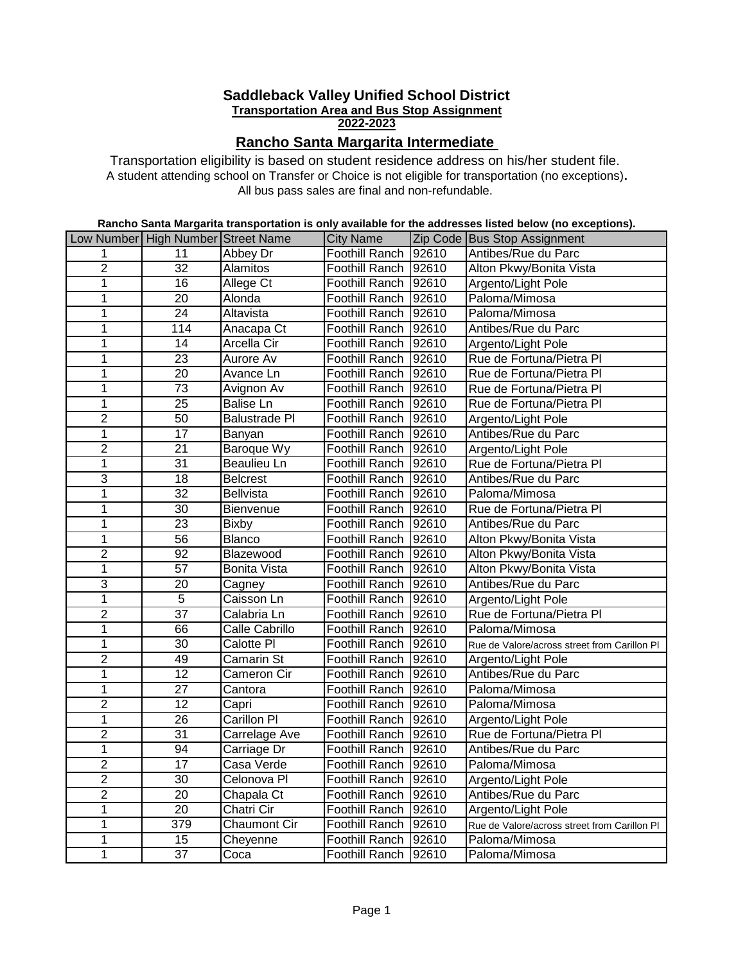### **Saddleback Valley Unified School District Transportation Area and Bus Stop Assignment 2-2023**

# **Rancho Santa Margarita Intermediate**

All bus pass sales are final and non-refundable. Transportation eligibility is based on student residence address on his/her student file. A student attending school on Transfer or Choice is not eligible for transportation (no exceptions)**.** 

### **Rancho Santa Margarita transportation is only available for the addresses listed below (no exceptions).**

|                | Low Number High Number Street Name |                        | <b>City Name</b>      |       | Zip Code Bus Stop Assignment                 |
|----------------|------------------------------------|------------------------|-----------------------|-------|----------------------------------------------|
| 1              | 11                                 | Abbey Dr               | <b>Foothill Ranch</b> | 92610 | Antibes/Rue du Parc                          |
| $\overline{2}$ | $\overline{32}$                    | <b>Alamitos</b>        | Foothill Ranch 92610  |       | Alton Pkwy/Bonita Vista                      |
| 1              | $\overline{16}$                    | Allege Ct              | Foothill Ranch 92610  |       | Argento/Light Pole                           |
| $\overline{1}$ | $\overline{20}$                    | Alonda                 | Foothill Ranch 92610  |       | Paloma/Mimosa                                |
| $\overline{1}$ | 24                                 | Altavista              | Foothill Ranch 92610  |       | Paloma/Mimosa                                |
| 1              | 114                                | Anacapa Ct             | Foothill Ranch 92610  |       | Antibes/Rue du Parc                          |
| 1              | $\overline{14}$                    | <b>Arcella Cir</b>     | Foothill Ranch 92610  |       | Argento/Light Pole                           |
| 1              | $\overline{23}$                    | <b>Aurore Av</b>       | Foothill Ranch 92610  |       | Rue de Fortuna/Pietra Pl                     |
| 1              | $\overline{20}$                    | Avance Ln              | Foothill Ranch 92610  |       | Rue de Fortuna/Pietra Pl                     |
| $\mathbf{1}$   | 73                                 | Avignon Av             | Foothill Ranch 92610  |       | Rue de Fortuna/Pietra Pl                     |
| 1              | $\overline{25}$                    | <b>Balise Ln</b>       | Foothill Ranch 92610  |       | Rue de Fortuna/Pietra Pl                     |
| 2              | 50                                 | <b>Balustrade PI</b>   | Foothill Ranch 92610  |       | Argento/Light Pole                           |
| $\overline{1}$ | 17                                 | Banyan                 | Foothill Ranch 92610  |       | Antibes/Rue du Parc                          |
| $\overline{2}$ | $\overline{21}$                    | <b>Baroque Wy</b>      | Foothill Ranch 92610  |       | Argento/Light Pole                           |
| $\overline{1}$ | 31                                 | Beaulieu Ln            | Foothill Ranch 92610  |       | Rue de Fortuna/Pietra Pl                     |
| 3              | 18                                 | <b>Belcrest</b>        | Foothill Ranch 92610  |       | Antibes/Rue du Parc                          |
| $\overline{1}$ | $\overline{32}$                    | <b>Bellvista</b>       | Foothill Ranch 92610  |       | Paloma/Mimosa                                |
| $\overline{1}$ | 30                                 | Bienvenue              | Foothill Ranch 92610  |       | Rue de Fortuna/Pietra Pl                     |
| 1              | $\overline{23}$                    | <b>Bixby</b>           | Foothill Ranch 92610  |       | Antibes/Rue du Parc                          |
| 1              | 56                                 | <b>Blanco</b>          | Foothill Ranch 92610  |       | Alton Pkwy/Bonita Vista                      |
| 2              | 92                                 | Blazewood              | Foothill Ranch 92610  |       | Alton Pkwy/Bonita Vista                      |
| $\overline{1}$ | 57                                 | <b>Bonita Vista</b>    | Foothill Ranch 92610  |       | Alton Pkwy/Bonita Vista                      |
| $\overline{3}$ | $\overline{20}$                    | Cagney                 | Foothill Ranch 92610  |       | Antibes/Rue du Parc                          |
| 1              | $\overline{5}$                     | Caisson Ln             | Foothill Ranch 92610  |       | Argento/Light Pole                           |
| $\overline{2}$ | $\overline{37}$                    | Calabria Ln            | Foothill Ranch 92610  |       | Rue de Fortuna/Pietra Pl                     |
| $\overline{1}$ | 66                                 | Calle Cabrillo         | Foothill Ranch 92610  |       | Paloma/Mimosa                                |
| 1              | $\overline{30}$                    | Calotte PI             | Foothill Ranch 92610  |       | Rue de Valore/across street from Carillon Pl |
| $\overline{2}$ | 49                                 | <b>Camarin St</b>      | Foothill Ranch 92610  |       | Argento/Light Pole                           |
| 1              | $\overline{12}$                    | Cameron Cir            | Foothill Ranch 92610  |       | Antibes/Rue du Parc                          |
| 1              | $\overline{27}$                    | Cantora                | Foothill Ranch 92610  |       | Paloma/Mimosa                                |
| $\overline{2}$ | 12                                 | Capri                  | Foothill Ranch 92610  |       | Paloma/Mimosa                                |
| 1              | $\overline{26}$                    | <b>Carillon PI</b>     | Foothill Ranch 92610  |       | Argento/Light Pole                           |
| $\overline{2}$ | 31                                 | Carrelage Ave          | Foothill Ranch 92610  |       | Rue de Fortuna/Pietra Pl                     |
| $\mathbf{1}$   | 94                                 | Carriage Dr            | Foothill Ranch 92610  |       | Antibes/Rue du Parc                          |
| $\overline{2}$ | 17                                 | Casa Verde             | Foothill Ranch        | 92610 | Paloma/Mimosa                                |
| $\overline{2}$ | 30                                 | Celonova <sub>PI</sub> | Foothill Ranch 92610  |       | Argento/Light Pole                           |
| $\overline{2}$ | $\overline{20}$                    | Chapala Ct             | Foothill Ranch 92610  |       | Antibes/Rue du Parc                          |
| 1              | 20                                 | Chatri Cir             | Foothill Ranch 92610  |       | Argento/Light Pole                           |
| $\mathbf 1$    | 379                                | <b>Chaumont Cir</b>    | Foothill Ranch 92610  |       | Rue de Valore/across street from Carillon Pl |
| $\overline{1}$ | $\overline{15}$                    | Cheyenne               | Foothill Ranch 92610  |       | Paloma/Mimosa                                |
| $\overline{1}$ | $\overline{37}$                    | Coca                   | Foothill Ranch 92610  |       | Paloma/Mimosa                                |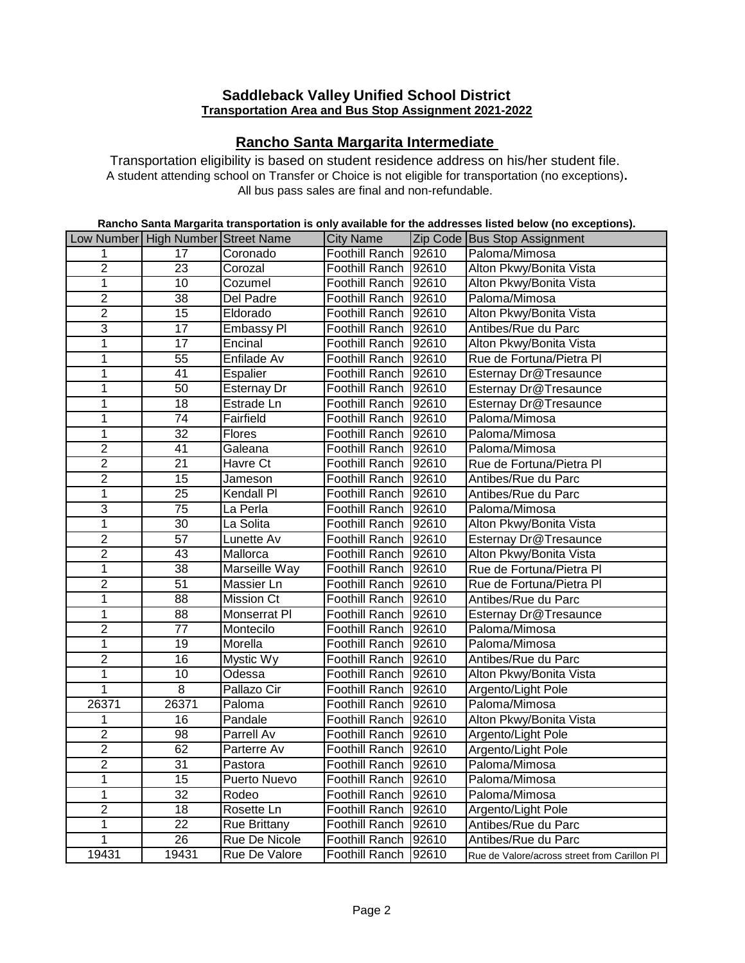# **Saddleback Valley Unified School District Transportation Area and Bus Stop Assignment 2021-2022**

# **Rancho Santa Margarita Intermediate**

All bus pass sales are final and non-refundable. Transportation eligibility is based on student residence address on his/her student file. A student attending school on Transfer or Choice is not eligible for transportation (no exceptions)**.** 

### **Rancho Santa Margarita transportation is only available for the addresses listed below (no exceptions).**

|                | Low Number High Number Street Name |                      | <b>City Name</b>     |       | Zip Code Bus Stop Assignment                 |
|----------------|------------------------------------|----------------------|----------------------|-------|----------------------------------------------|
| 1              | $\overline{17}$                    | Coronado             | Foothill Ranch       | 92610 | Paloma/Mimosa                                |
| $\overline{2}$ | 23                                 | Corozal              | Foothill Ranch 92610 |       | Alton Pkwy/Bonita Vista                      |
| $\overline{1}$ | $\overline{10}$                    | Cozumel              | Foothill Ranch 92610 |       | Alton Pkwy/Bonita Vista                      |
| $\overline{2}$ | 38                                 | Del Padre            | Foothill Ranch 92610 |       | Paloma/Mimosa                                |
| $\overline{2}$ | 15                                 | Eldorado             | Foothill Ranch 92610 |       | Alton Pkwy/Bonita Vista                      |
| $\overline{3}$ | $\overline{17}$                    | <b>Embassy PI</b>    | Foothill Ranch 92610 |       | Antibes/Rue du Parc                          |
| $\mathbf{1}$   | $\overline{17}$                    | Encinal              | Foothill Ranch 92610 |       | Alton Pkwy/Bonita Vista                      |
| $\mathbf{1}$   | $\overline{55}$                    | Enfilade Av          | Foothill Ranch 92610 |       | Rue de Fortuna/Pietra Pl                     |
| $\mathbf{1}$   | 41                                 | Espalier             | Foothill Ranch 92610 |       | Esternay Dr@Tresaunce                        |
| $\mathbf{1}$   | 50                                 | Esternay Dr          | Foothill Ranch 92610 |       | Esternay Dr@Tresaunce                        |
| $\mathbf{1}$   | 18                                 | Estrade Ln           | Foothill Ranch 92610 |       | Esternay Dr@Tresaunce                        |
| $\mathbf{1}$   | $\overline{74}$                    | Fairfield            | Foothill Ranch 92610 |       | Paloma/Mimosa                                |
| $\overline{1}$ | $\overline{32}$                    | Flores               | Foothill Ranch 92610 |       | Paloma/Mimosa                                |
| $\overline{2}$ | 41                                 | Galeana              | Foothill Ranch 92610 |       | Paloma/Mimosa                                |
| $\overline{2}$ | $\overline{21}$                    | <b>Havre Ct</b>      | Foothill Ranch 92610 |       | Rue de Fortuna/Pietra Pl                     |
| $\overline{2}$ | 15                                 | Jameson              | Foothill Ranch 92610 |       | Antibes/Rue du Parc                          |
| $\overline{1}$ | $\overline{25}$                    | <b>Kendall Pl</b>    | Foothill Ranch 92610 |       | Antibes/Rue du Parc                          |
| $\overline{3}$ | $\overline{75}$                    | La Perla             | Foothill Ranch 92610 |       | Paloma/Mimosa                                |
| $\overline{1}$ | $\overline{30}$                    | La Solita            | Foothill Ranch 92610 |       | Alton Pkwy/Bonita Vista                      |
| $\overline{2}$ | $\overline{57}$                    | <b>Lunette Av</b>    | Foothill Ranch 92610 |       | Esternay Dr@Tresaunce                        |
| $\overline{2}$ | $\overline{43}$                    | Mallorca             | Foothill Ranch 92610 |       | Alton Pkwy/Bonita Vista                      |
| $\overline{1}$ | 38                                 | <b>Marseille Way</b> | Foothill Ranch 92610 |       | Rue de Fortuna/Pietra Pl                     |
| $\overline{2}$ | 51                                 | Massier Ln           | Foothill Ranch 92610 |       | Rue de Fortuna/Pietra Pl                     |
| $\overline{1}$ | $\overline{88}$                    | <b>Mission Ct</b>    | Foothill Ranch 92610 |       | Antibes/Rue du Parc                          |
| $\overline{1}$ | $\overline{88}$                    | <b>Monserrat PI</b>  | Foothill Ranch 92610 |       | Esternay Dr@Tresaunce                        |
| $\overline{2}$ | $\overline{77}$                    | Montecilo            | Foothill Ranch 92610 |       | Paloma/Mimosa                                |
| $\overline{1}$ | $\overline{19}$                    | Morella              | Foothill Ranch 92610 |       | Paloma/Mimosa                                |
| $\overline{2}$ | $\overline{16}$                    | <b>Mystic Wy</b>     | Foothill Ranch 92610 |       | Antibes/Rue du Parc                          |
| $\overline{1}$ | $\overline{10}$                    | Odessa               | Foothill Ranch 92610 |       | Alton Pkwy/Bonita Vista                      |
| $\overline{1}$ | $\overline{8}$                     | Pallazo Cir          | Foothill Ranch 92610 |       | Argento/Light Pole                           |
| 26371          | 26371                              | Paloma               | Foothill Ranch 92610 |       | Paloma/Mimosa                                |
| $\mathbf{1}$   | $\overline{16}$                    | Pandale              | Foothill Ranch 92610 |       | Alton Pkwy/Bonita Vista                      |
| $\overline{2}$ | 98                                 | Parrell Av           | Foothill Ranch 92610 |       | Argento/Light Pole                           |
| $\overline{2}$ | 62                                 | Parterre Av          | Foothill Ranch 92610 |       | Argento/Light Pole                           |
| $\overline{2}$ | 31                                 | Pastora              | Foothill Ranch 92610 |       | Paloma/Mimosa                                |
| $\mathbf{1}$   | 15                                 | Puerto Nuevo         | Foothill Ranch 92610 |       | Paloma/Mimosa                                |
| $\overline{1}$ | 32                                 | Rodeo                | Foothill Ranch 92610 |       | Paloma/Mimosa                                |
| $\overline{2}$ | 18                                 | Rosette Ln           | Foothill Ranch 92610 |       | Argento/Light Pole                           |
| $\mathbf{1}$   | $\overline{22}$                    | Rue Brittany         | Foothill Ranch 92610 |       | Antibes/Rue du Parc                          |
| 1              | 26                                 | <b>Rue De Nicole</b> | Foothill Ranch 92610 |       | Antibes/Rue du Parc                          |
| 19431          | 19431                              | Rue De Valore        | Foothill Ranch 92610 |       | Rue de Valore/across street from Carillon PI |